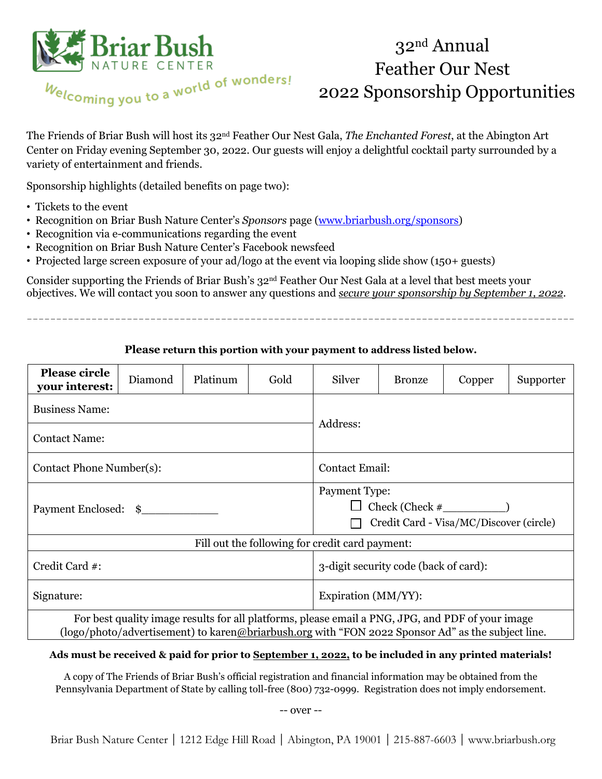

# 32 nd Annual Feather Our Nest 2022 Sponsorship Opportunities

The Friends of Briar Bush will host its 32nd Feather Our Nest Gala, *The Enchanted Forest*, at the Abington Art Center on Friday evening September 30, 2022. Our guests will enjoy a delightful cocktail party surrounded by a variety of entertainment and friends.

Sponsorship highlights (detailed benefits on page two):

- Tickets to the event
- Recognition on Briar Bush Nature Center's *Sponsors* pag[e](http://www.briarbush.org/) (www.briarbush.org/sponsors)
- Recognition via e-communications regarding the event
- Recognition on Briar Bush Nature Center's Facebook newsfeed
- Projected large screen exposure of your ad/logo at the event via looping slide show (150+ guests)

Consider supporting the Friends of Briar Bush's 32nd Feather Our Nest Gala at a level that best meets your objectives. We will contact you soon to answer any questions and *secure your sponsorship by September 1, 2022*.

**Please return this portion with your payment to address listed below.**

\_ \_ \_ \_ \_ \_ \_ \_ \_ \_ \_ \_ \_ \_ \_ \_ \_ \_ \_ \_ \_ \_ \_ \_ \_ \_ \_ \_ \_ \_ \_ \_ \_ \_ \_ \_ \_ \_ \_ \_ \_ \_ \_ \_ \_ \_ \_ \_ \_ \_ \_ \_ \_ \_ \_ \_ \_ \_ \_ \_ \_ \_ \_ \_ \_ \_ \_ \_ \_ \_ \_ \_ \_ \_ \_ \_ \_ \_ \_ \_ \_ \_ \_ \_ \_ \_ \_ \_ \_ \_ \_ \_ \_

| <b>Please circle</b><br>your interest:                                                                                                                                                                | Diamond | Platinum | Gold | Silver                                                                        | <b>Bronze</b> | Copper | Supporter |
|-------------------------------------------------------------------------------------------------------------------------------------------------------------------------------------------------------|---------|----------|------|-------------------------------------------------------------------------------|---------------|--------|-----------|
| <b>Business Name:</b>                                                                                                                                                                                 |         |          |      | Address:                                                                      |               |        |           |
| <b>Contact Name:</b>                                                                                                                                                                                  |         |          |      |                                                                               |               |        |           |
| Contact Phone Number(s):                                                                                                                                                                              |         |          |      | <b>Contact Email:</b>                                                         |               |        |           |
| Payment Enclosed: \$                                                                                                                                                                                  |         |          |      | Payment Type:<br>$Check (Check \#$<br>Credit Card - Visa/MC/Discover (circle) |               |        |           |
| Fill out the following for credit card payment:                                                                                                                                                       |         |          |      |                                                                               |               |        |           |
| Credit Card #:                                                                                                                                                                                        |         |          |      | 3-digit security code (back of card):                                         |               |        |           |
| Signature:                                                                                                                                                                                            |         |          |      | Expiration (MM/YY):                                                           |               |        |           |
| For best quality image results for all platforms, please email a PNG, JPG, and PDF of your image<br>(logo/photo/advertisement) to karen@briarbush.org with "FON 2022 Sponsor Ad" as the subject line. |         |          |      |                                                                               |               |        |           |

#### **Ads must be received & paid for prior to September 1, 2022, to be included in any printed materials!**

A copy of The Friends of Briar Bush's official registration and financial information may be obtained from the Pennsylvania Department of State by calling toll-free (800) 732-0999. Registration does not imply endorsement.

-- over --

Briar Bush Nature Center | 1212 Edge Hill Road | Abington, PA 19001 | 215-887-6603 | www.briarbush.org